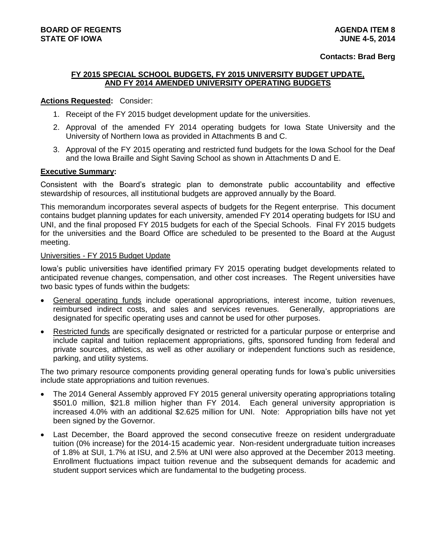#### **Contacts: Brad Berg**

# **FY 2015 SPECIAL SCHOOL BUDGETS, FY 2015 UNIVERSITY BUDGET UPDATE, AND FY 2014 AMENDED UNIVERSITY OPERATING BUDGETS**

### **Actions Requested:** Consider:

- 1. Receipt of the FY 2015 budget development update for the universities.
- 2. Approval of the amended FY 2014 operating budgets for Iowa State University and the University of Northern Iowa as provided in Attachments B and C.
- 3. Approval of the FY 2015 operating and restricted fund budgets for the Iowa School for the Deaf and the Iowa Braille and Sight Saving School as shown in Attachments D and E.

## **Executive Summary:**

Consistent with the Board's strategic plan to demonstrate public accountability and effective stewardship of resources, all institutional budgets are approved annually by the Board.

This memorandum incorporates several aspects of budgets for the Regent enterprise. This document contains budget planning updates for each university, amended FY 2014 operating budgets for ISU and UNI, and the final proposed FY 2015 budgets for each of the Special Schools. Final FY 2015 budgets for the universities and the Board Office are scheduled to be presented to the Board at the August meeting.

## Universities - FY 2015 Budget Update

Iowa's public universities have identified primary FY 2015 operating budget developments related to anticipated revenue changes, compensation, and other cost increases. The Regent universities have two basic types of funds within the budgets:

- General operating funds include operational appropriations, interest income, tuition revenues, reimbursed indirect costs, and sales and services revenues. Generally, appropriations are designated for specific operating uses and cannot be used for other purposes.
- Restricted funds are specifically designated or restricted for a particular purpose or enterprise and include capital and tuition replacement appropriations, gifts, sponsored funding from federal and private sources, athletics, as well as other auxiliary or independent functions such as residence, parking, and utility systems.

The two primary resource components providing general operating funds for Iowa's public universities include state appropriations and tuition revenues.

- The 2014 General Assembly approved FY 2015 general university operating appropriations totaling \$501.0 million, \$21.8 million higher than FY 2014. Each general university appropriation is increased 4.0% with an additional \$2.625 million for UNI. Note: Appropriation bills have not yet been signed by the Governor.
- Last December, the Board approved the second consecutive freeze on resident undergraduate tuition (0% increase) for the 2014-15 academic year. Non-resident undergraduate tuition increases of 1.8% at SUI, 1.7% at ISU, and 2.5% at UNI were also approved at the December 2013 meeting. Enrollment fluctuations impact tuition revenue and the subsequent demands for academic and student support services which are fundamental to the budgeting process.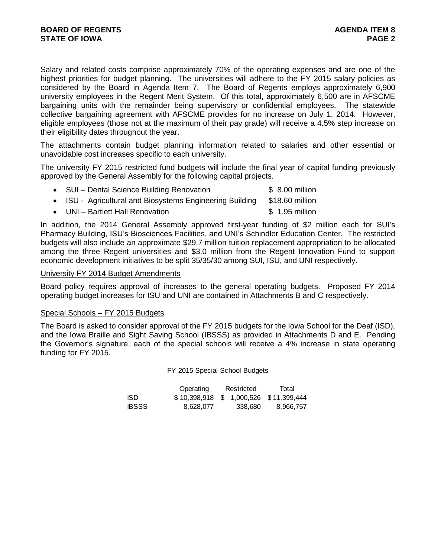Salary and related costs comprise approximately 70% of the operating expenses and are one of the highest priorities for budget planning. The universities will adhere to the FY 2015 salary policies as considered by the Board in Agenda Item 7. The Board of Regents employs approximately 6,900 university employees in the Regent Merit System. Of this total, approximately 6,500 are in AFSCME bargaining units with the remainder being supervisory or confidential employees. The statewide collective bargaining agreement with AFSCME provides for no increase on July 1, 2014. However, eligible employees (those not at the maximum of their pay grade) will receive a 4.5% step increase on their eligibility dates throughout the year.

The attachments contain budget planning information related to salaries and other essential or unavoidable cost increases specific to each university.

The university FY 2015 restricted fund budgets will include the final year of capital funding previously approved by the General Assembly for the following capital projects.

| • SUI – Dental Science Building Renovation               | $$8.00$ million |
|----------------------------------------------------------|-----------------|
| • ISU - Agricultural and Biosystems Engineering Building | \$18.60 million |

• UNI – Bartlett Hall Renovation **\$ 1.95 million** 

In addition, the 2014 General Assembly approved first-year funding of \$2 million each for SUI's Pharmacy Building, ISU's Biosciences Facilities, and UNI's Schindler Education Center. The restricted budgets will also include an approximate \$29.7 million tuition replacement appropriation to be allocated among the three Regent universities and \$3.0 million from the Regent Innovation Fund to support economic development initiatives to be split 35/35/30 among SUI, ISU, and UNI respectively.

### University FY 2014 Budget Amendments

Board policy requires approval of increases to the general operating budgets. Proposed FY 2014 operating budget increases for ISU and UNI are contained in Attachments B and C respectively.

## Special Schools – FY 2015 Budgets

The Board is asked to consider approval of the FY 2015 budgets for the Iowa School for the Deaf (ISD), and the Iowa Braille and Sight Saving School (IBSSS) as provided in Attachments D and E. Pending the Governor's signature, each of the special schools will receive a 4% increase in state operating funding for FY 2015.

FY 2015 Special School Budgets

|       | Operating                             | Restricted | Total     |
|-------|---------------------------------------|------------|-----------|
| ISD   | \$10,398,918 \$1,000,526 \$11,399,444 |            |           |
| IBSSS | 8.628.077                             | 338.680    | 8,966,757 |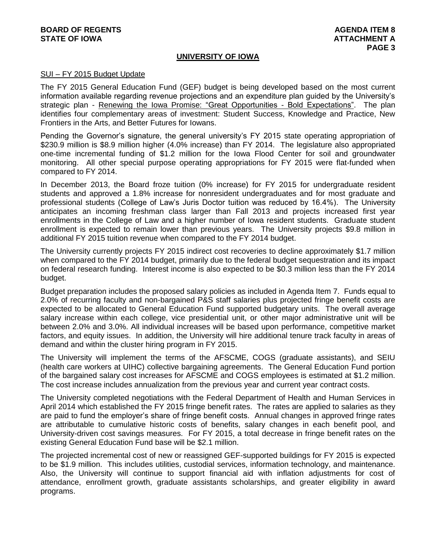# **BOARD OF REGENTS AGENUS AGENUS STATE OF IOWA** AND **ATTACHMENT A**

# **UNIVERSITY OF IOWA**

### SUI – FY 2015 Budget Update

The FY 2015 General Education Fund (GEF) budget is being developed based on the most current information available regarding revenue projections and an expenditure plan guided by the University's strategic plan - Renewing the Iowa Promise: "Great Opportunities - Bold Expectations". The plan identifies four complementary areas of investment: Student Success, Knowledge and Practice, New Frontiers in the Arts, and Better Futures for Iowans.

Pending the Governor's signature, the general university's FY 2015 state operating appropriation of \$230.9 million is \$8.9 million higher (4.0% increase) than FY 2014. The legislature also appropriated one-time incremental funding of \$1.2 million for the Iowa Flood Center for soil and groundwater monitoring. All other special purpose operating appropriations for FY 2015 were flat-funded when compared to FY 2014.

In December 2013, the Board froze tuition (0% increase) for FY 2015 for undergraduate resident students and approved a 1.8% increase for nonresident undergraduates and for most graduate and professional students (College of Law's Juris Doctor tuition was reduced by 16.4%). The University anticipates an incoming freshman class larger than Fall 2013 and projects increased first year enrollments in the College of Law and a higher number of Iowa resident students. Graduate student enrollment is expected to remain lower than previous years. The University projects \$9.8 million in additional FY 2015 tuition revenue when compared to the FY 2014 budget.

The University currently projects FY 2015 indirect cost recoveries to decline approximately \$1.7 million when compared to the FY 2014 budget, primarily due to the federal budget sequestration and its impact on federal research funding. Interest income is also expected to be \$0.3 million less than the FY 2014 budget.

Budget preparation includes the proposed salary policies as included in Agenda Item 7. Funds equal to 2.0% of recurring faculty and non-bargained P&S staff salaries plus projected fringe benefit costs are expected to be allocated to General Education Fund supported budgetary units. The overall average salary increase within each college, vice presidential unit, or other major administrative unit will be between 2.0% and 3.0%. All individual increases will be based upon performance, competitive market factors, and equity issues. In addition, the University will hire additional tenure track faculty in areas of demand and within the cluster hiring program in FY 2015.

The University will implement the terms of the AFSCME, COGS (graduate assistants), and SEIU (health care workers at UIHC) collective bargaining agreements. The General Education Fund portion of the bargained salary cost increases for AFSCME and COGS employees is estimated at \$1.2 million. The cost increase includes annualization from the previous year and current year contract costs.

The University completed negotiations with the Federal Department of Health and Human Services in April 2014 which established the FY 2015 fringe benefit rates. The rates are applied to salaries as they are paid to fund the employer's share of fringe benefit costs. Annual changes in approved fringe rates are attributable to cumulative historic costs of benefits, salary changes in each benefit pool, and University-driven cost savings measures. For FY 2015, a total decrease in fringe benefit rates on the existing General Education Fund base will be \$2.1 million.

The projected incremental cost of new or reassigned GEF-supported buildings for FY 2015 is expected to be \$1.9 million. This includes utilities, custodial services, information technology, and maintenance. Also, the University will continue to support financial aid with inflation adjustments for cost of attendance, enrollment growth, graduate assistants scholarships, and greater eligibility in award programs.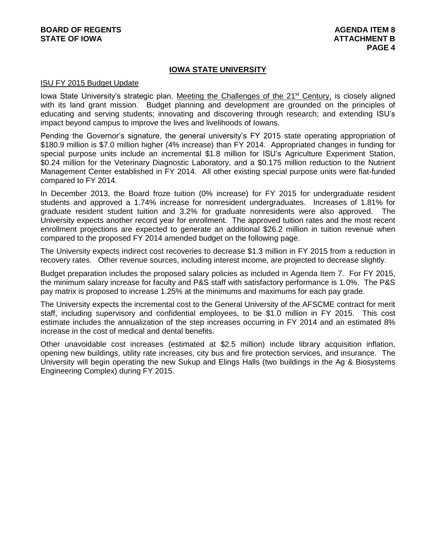# **IOWA STATE UNIVERSITY**

#### ISU FY 2015 Budget Update

Iowa State University's strategic plan, Meeting the Challenges of the 21<sup>st</sup> Century, is closely aligned with its land grant mission. Budget planning and development are grounded on the principles of educating and serving students; innovating and discovering through research; and extending ISU's impact beyond campus to improve the lives and livelihoods of Iowans.

Pending the Governor's signature, the general university's FY 2015 state operating appropriation of \$180.9 million is \$7.0 million higher (4% increase) than FY 2014. Appropriated changes in funding for special purpose units include an incremental \$1.8 million for ISU's Agriculture Experiment Station, \$0.24 million for the Veterinary Diagnostic Laboratory, and a \$0.175 million reduction to the Nutrient Management Center established in FY 2014. All other existing special purpose units were flat-funded compared to FY 2014.

In December 2013, the Board froze tuition (0% increase) for FY 2015 for undergraduate resident students and approved a 1.74% increase for nonresident undergraduates. Increases of 1.81% for graduate resident student tuition and 3.2% for graduate nonresidents were also approved. The University expects another record year for enrollment. The approved tuition rates and the most recent enrollment projections are expected to generate an additional \$26.2 million in tuition revenue when compared to the proposed FY 2014 amended budget on the following page.

The University expects indirect cost recoveries to decrease \$1.3 million in FY 2015 from a reduction in recovery rates. Other revenue sources, including interest income, are projected to decrease slightly.

Budget preparation includes the proposed salary policies as included in Agenda Item 7. For FY 2015, the minimum salary increase for faculty and P&S staff with satisfactory performance is 1.0%. The P&S pay matrix is proposed to increase 1.25% at the minimums and maximums for each pay grade.

The University expects the incremental cost to the General University of the AFSCME contract for merit staff, including supervisory and confidential employees, to be \$1.0 million in FY 2015. This cost estimate includes the annualization of the step increases occurring in FY 2014 and an estimated 8% increase in the cost of medical and dental benefits.

Other unavoidable cost increases (estimated at \$2.5 million) include library acquisition inflation, opening new buildings, utility rate increases, city bus and fire protection services, and insurance. The University will begin operating the new Sukup and Elings Halls (two buildings in the Ag & Biosystems Engineering Complex) during FY 2015.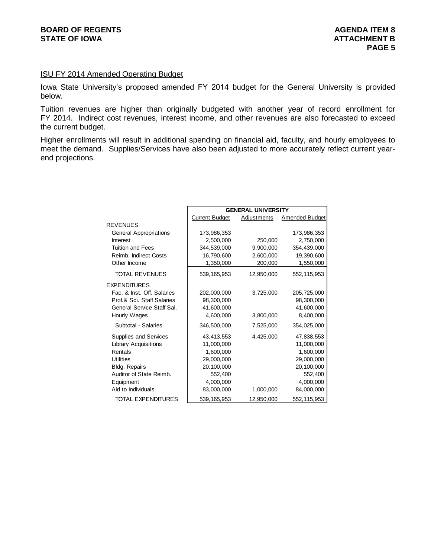## ISU FY 2014 Amended Operating Budget

Iowa State University's proposed amended FY 2014 budget for the General University is provided below.

Tuition revenues are higher than originally budgeted with another year of record enrollment for FY 2014. Indirect cost revenues, interest income, and other revenues are also forecasted to exceed the current budget.

Higher enrollments will result in additional spending on financial aid, faculty, and hourly employees to meet the demand. Supplies/Services have also been adjusted to more accurately reflect current yearend projections.

|                               | <b>GENERAL UNIVERSITY</b> |                    |                       |  |  |  |  |
|-------------------------------|---------------------------|--------------------|-----------------------|--|--|--|--|
|                               | <b>Current Budget</b>     | <b>Adjustments</b> | <b>Amended Budget</b> |  |  |  |  |
| <b>REVENUES</b>               |                           |                    |                       |  |  |  |  |
| <b>General Appropriations</b> | 173,986,353               |                    | 173,986,353           |  |  |  |  |
| Interest                      | 2,500,000                 | 250,000            | 2,750,000             |  |  |  |  |
| <b>Tuition and Fees</b>       | 344,539,000               | 9,900,000          | 354,439,000           |  |  |  |  |
| Reimb. Indirect Costs         | 16,790,600                | 2,600,000          | 19,390,600            |  |  |  |  |
| Other Income                  | 1,350,000                 | 200,000            | 1,550,000             |  |  |  |  |
| <b>TOTAL REVENUES</b>         | 539, 165, 953             | 12,950,000         | 552, 115, 953         |  |  |  |  |
| <b>EXPENDITURES</b>           |                           |                    |                       |  |  |  |  |
| Fac. & Inst. Off. Salaries    | 202,000,000               | 3,725,000          | 205,725,000           |  |  |  |  |
| Prof.& Sci. Staff Salaries    | 98,300,000                |                    | 98,300,000            |  |  |  |  |
| General Service Staff Sal.    | 41.600.000                |                    | 41,600,000            |  |  |  |  |
| Hourly Wages                  | 4,600,000                 | 3,800,000          | 8,400,000             |  |  |  |  |
| Subtotal - Salaries           | 346,500,000               | 7,525,000          | 354,025,000           |  |  |  |  |
| Supplies and Services         | 43,413,553                | 4,425,000          | 47,838,553            |  |  |  |  |
| <b>Library Acquisitions</b>   | 11,000,000                |                    | 11,000,000            |  |  |  |  |
| Rentals                       | 1,600,000                 |                    | 1,600,000             |  |  |  |  |
| <b>Utilities</b>              | 29,000,000                |                    | 29,000,000            |  |  |  |  |
| Bldg. Repairs                 | 20,100,000                |                    | 20,100,000            |  |  |  |  |
| Auditor of State Reimb.       | 552,400                   |                    | 552,400               |  |  |  |  |
| Equipment                     | 4,000,000                 |                    | 4,000,000             |  |  |  |  |
| Aid to Individuals            | 83,000,000                | 1,000,000          | 84,000,000            |  |  |  |  |
| TOTAL EXPENDITURES            | 539, 165, 953             | 12,950,000         | 552,115,953           |  |  |  |  |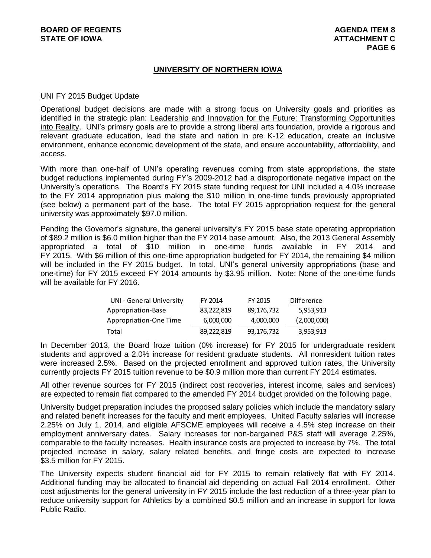# **UNIVERSITY OF NORTHERN IOWA**

## UNI FY 2015 Budget Update

Operational budget decisions are made with a strong focus on University goals and priorities as identified in the strategic plan: Leadership and Innovation for the Future: Transforming Opportunities into Reality. UNI's primary goals are to provide a strong liberal arts foundation, provide a rigorous and relevant graduate education, lead the state and nation in pre K-12 education, create an inclusive environment, enhance economic development of the state, and ensure accountability, affordability, and access.

With more than one-half of UNI's operating revenues coming from state appropriations, the state budget reductions implemented during FY's 2009-2012 had a disproportionate negative impact on the University's operations. The Board's FY 2015 state funding request for UNI included a 4.0% increase to the FY 2014 appropriation plus making the \$10 million in one-time funds previously appropriated (see below) a permanent part of the base. The total FY 2015 appropriation request for the general university was approximately \$97.0 million.

Pending the Governor's signature, the general university's FY 2015 base state operating appropriation of \$89.2 million is \$6.0 million higher than the FY 2014 base amount. Also, the 2013 General Assembly appropriated a total of \$10 million in one-time funds available in FY 2014 and FY 2015. With \$6 million of this one-time appropriation budgeted for FY 2014, the remaining \$4 million will be included in the FY 2015 budget. In total, UNI's general university appropriations (base and one-time) for FY 2015 exceed FY 2014 amounts by \$3.95 million. Note: None of the one-time funds will be available for FY 2016.

| UNI - General University | FY 2014    | FY 2015    | Difference  |
|--------------------------|------------|------------|-------------|
| Appropriation-Base       | 83,222,819 | 89,176,732 | 5,953,913   |
| Appropriation-One Time   | 6,000,000  | 4,000,000  | (2,000,000) |
| Total                    | 89,222,819 | 93,176,732 | 3,953,913   |

In December 2013, the Board froze tuition (0% increase) for FY 2015 for undergraduate resident students and approved a 2.0% increase for resident graduate students. All nonresident tuition rates were increased 2.5%. Based on the projected enrollment and approved tuition rates, the University currently projects FY 2015 tuition revenue to be \$0.9 million more than current FY 2014 estimates.

All other revenue sources for FY 2015 (indirect cost recoveries, interest income, sales and services) are expected to remain flat compared to the amended FY 2014 budget provided on the following page.

University budget preparation includes the proposed salary policies which include the mandatory salary and related benefit increases for the faculty and merit employees. United Faculty salaries will increase 2.25% on July 1, 2014, and eligible AFSCME employees will receive a 4.5% step increase on their employment anniversary dates. Salary increases for non-bargained P&S staff will average 2.25%, comparable to the faculty increases. Health insurance costs are projected to increase by 7%. The total projected increase in salary, salary related benefits, and fringe costs are expected to increase \$3.5 million for FY 2015.

The University expects student financial aid for FY 2015 to remain relatively flat with FY 2014. Additional funding may be allocated to financial aid depending on actual Fall 2014 enrollment. Other cost adjustments for the general university in FY 2015 include the last reduction of a three-year plan to reduce university support for Athletics by a combined \$0.5 million and an increase in support for Iowa Public Radio.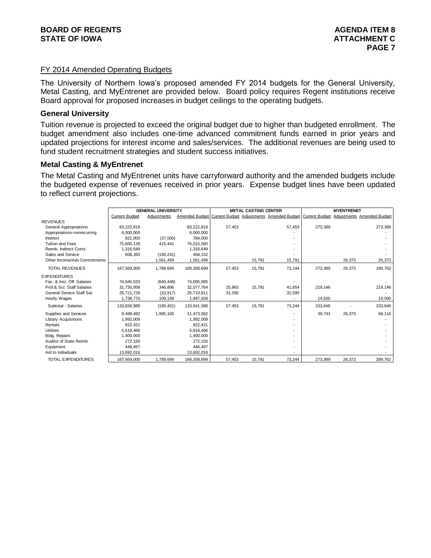# FY 2014 Amended Operating Budgets

The University of Northern Iowa's proposed amended FY 2014 budgets for the General University, Metal Casting, and MyEntrenet are provided below. Board policy requires Regent institutions receive Board approval for proposed increases in budget ceilings to the operating budgets.

## **General University**

Tuition revenue is projected to exceed the original budget due to higher than budgeted enrollment. The budget amendment also includes one-time advanced commitment funds earned in prior years and updated projections for interest income and sales/services. The additional revenues are being used to fund student recruitment strategies and student success initiatives.

## **Metal Casting & MyEntrenet**

The Metal Casting and MyEntrenet units have carryforward authority and the amended budgets include the budgeted expense of revenues received in prior years. Expense budget lines have been updated to reflect current projections.

|                               |                       | <b>GENERAL UNIVERSITY</b> |             | <b>METAL CASTING CENTER</b> |        |                                                                                                    | <b>MYENTRENET</b> |        |         |
|-------------------------------|-----------------------|---------------------------|-------------|-----------------------------|--------|----------------------------------------------------------------------------------------------------|-------------------|--------|---------|
|                               | <b>Current Budget</b> | Adjustments               |             |                             |        | Amended Budget Current Budget Adjustments Amended Budget Current Budget Adjustments Amended Budget |                   |        |         |
| <b>REVENUES</b>               |                       |                           |             |                             |        |                                                                                                    |                   |        |         |
| <b>General Appropriations</b> | 83,222,819            |                           | 83,222,819  | 57,453                      |        | 57,453                                                                                             | 273,389           |        | 273,389 |
| Appropriations-nonrecurring   | 6,000,000             |                           | 6,000,000   |                             |        |                                                                                                    |                   |        |         |
| Interest                      | 821.000               | (37,000)                  | 784.000     |                             |        |                                                                                                    |                   |        |         |
| <b>Tuition and Fees</b>       | 75,600,139            | 415,441                   | 76,015,580  |                             |        |                                                                                                    |                   |        |         |
| Reimb. Indirect Costs         | 1,316,649             |                           | 1,316,649   |                             |        |                                                                                                    |                   |        |         |
| Sales and Service             | 608,393               | (150, 241)                | 458,152     |                             |        |                                                                                                    |                   |        |         |
| Other Income/Adv Commitments  |                       | 1,561,499                 | 1,561,499   |                             | 15,791 | 15,791                                                                                             |                   | 26,373 | 26,373  |
| <b>TOTAL REVENUES</b>         | 167.569.000           | 1.789.699                 | 169,358,699 | 57,453                      | 15.791 | 73.244                                                                                             | 273.389           | 26,373 | 299,762 |
| <b>EXPENDITURES</b>           |                       |                           |             |                             |        |                                                                                                    |                   |        |         |
| Fac. & Inst. Off. Salaries    | 74,645,533            | (640, 448)                | 74,005,085  |                             |        |                                                                                                    |                   |        |         |
| Prof.& Sci. Staff Salaries    | 31,730,958            | 346,806                   | 32,077,764  | 25.863                      | 15.791 | 41,654                                                                                             | 219,146           |        | 219,146 |
| General Service Staff Sal.    | 25.721.728            | (10, 917)                 | 25.710.811  | 31,590                      |        | 31,590                                                                                             |                   |        |         |
| Hourly Wages                  | 1,738,770             | 109,158                   | 1,847,928   |                             |        |                                                                                                    | 14,500            |        | 14,500  |
| Subtotal - Salaries           | 133,836,989           | (195, 401)                | 133,641,588 | 57,453                      | 15,791 | 73,244                                                                                             | 233,646           |        | 233,646 |
| Supplies and Services         | 9,488,482             | 1,985,100                 | 11,473,582  |                             |        |                                                                                                    | 39,743            | 26,373 | 66,116  |
| <b>Library Acquisitions</b>   | 1,992,009             |                           | 1,992,009   |                             |        |                                                                                                    |                   |        |         |
| Rentals                       | 822.421               |                           | 822,421     |                             |        |                                                                                                    |                   |        |         |
| <b>Utilities</b>              | 5.618.466             |                           | 5,618,466   |                             |        |                                                                                                    |                   |        |         |
| Bldg. Repairs                 | 1,400,000             |                           | 1,400,000   |                             |        |                                                                                                    |                   |        |         |
| Auditor of State Reimb.       | 272.150               |                           | 272,150     |                             |        |                                                                                                    |                   |        |         |
| Equipment                     | 446.467               |                           | 446.467     |                             |        |                                                                                                    |                   |        |         |
| Aid to Individuals            | 13,692,016            |                           | 13,692,016  |                             |        |                                                                                                    |                   |        |         |
| <b>TOTAL EXPENDITURES</b>     | 167,569,000           | 1,789,699                 | 169,358,699 | 57,453                      | 15,791 | 73,244                                                                                             | 273,389           | 26,373 | 299,762 |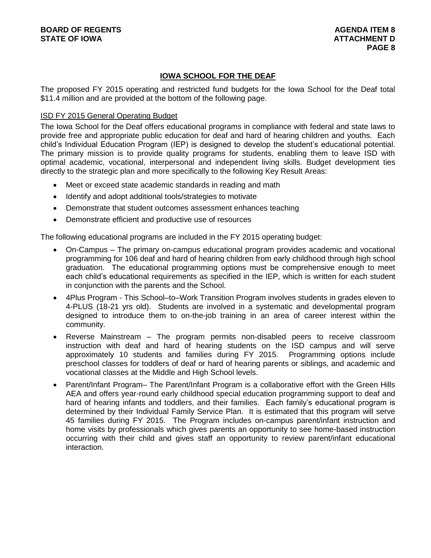# **IOWA SCHOOL FOR THE DEAF**

The proposed FY 2015 operating and restricted fund budgets for the Iowa School for the Deaf total \$11.4 million and are provided at the bottom of the following page.

# ISD FY 2015 General Operating Budget

The Iowa School for the Deaf offers educational programs in compliance with federal and state laws to provide free and appropriate public education for deaf and hard of hearing children and youths. Each child's Individual Education Program (IEP) is designed to develop the student's educational potential. The primary mission is to provide quality programs for students, enabling them to leave ISD with optimal academic, vocational, interpersonal and independent living skills. Budget development ties directly to the strategic plan and more specifically to the following Key Result Areas:

- Meet or exceed state academic standards in reading and math
- Identify and adopt additional tools/strategies to motivate
- Demonstrate that student outcomes assessment enhances teaching
- Demonstrate efficient and productive use of resources

The following educational programs are included in the FY 2015 operating budget:

- On-Campus The primary on-campus educational program provides academic and vocational programming for 106 deaf and hard of hearing children from early childhood through high school graduation. The educational programming options must be comprehensive enough to meet each child's educational requirements as specified in the IEP, which is written for each student in conjunction with the parents and the School.
- 4Plus Program This School–to–Work Transition Program involves students in grades eleven to 4-PLUS (18-21 yrs old). Students are involved in a systematic and developmental program designed to introduce them to on-the-job training in an area of career interest within the community.
- Reverse Mainstream The program permits non-disabled peers to receive classroom instruction with deaf and hard of hearing students on the ISD campus and will serve approximately 10 students and families during FY 2015. Programming options include preschool classes for toddlers of deaf or hard of hearing parents or siblings, and academic and vocational classes at the Middle and High School levels.
- Parent/Infant Program– The Parent/Infant Program is a collaborative effort with the Green Hills AEA and offers year-round early childhood special education programming support to deaf and hard of hearing infants and toddlers, and their families. Each family's educational program is determined by their Individual Family Service Plan. It is estimated that this program will serve 45 families during FY 2015. The Program includes on-campus parent/infant instruction and home visits by professionals which gives parents an opportunity to see home-based instruction occurring with their child and gives staff an opportunity to review parent/infant educational interaction.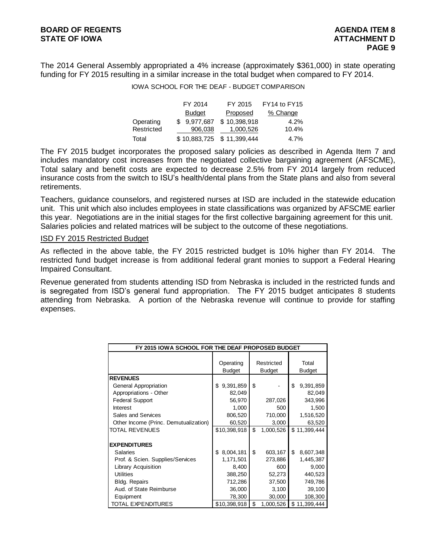The 2014 General Assembly appropriated a 4% increase (approximately \$361,000) in state operating funding for FY 2015 resulting in a similar increase in the total budget when compared to FY 2014.

## IOWA SCHOOL FOR THE DEAF - BUDGET COMPARISON

|            | FY 2014       | FY 2015                   | FY14 to FY15 |
|------------|---------------|---------------------------|--------------|
|            | <b>Budget</b> | Proposed                  | % Change     |
| Operating  | \$9.977.687   | \$10,398,918              | 4.2%         |
| Restricted | 906,038       | 1,000,526                 | 10.4%        |
| Total      |               | \$10,883,725 \$11,399,444 | 4.7%         |

The FY 2015 budget incorporates the proposed salary policies as described in Agenda Item 7 and includes mandatory cost increases from the negotiated collective bargaining agreement (AFSCME), Total salary and benefit costs are expected to decrease 2.5% from FY 2014 largely from reduced insurance costs from the switch to ISU's health/dental plans from the State plans and also from several retirements.

Teachers, guidance counselors, and registered nurses at ISD are included in the statewide education unit. This unit which also includes employees in state classifications was organized by AFSCME earlier this year. Negotiations are in the initial stages for the first collective bargaining agreement for this unit. Salaries policies and related matrices will be subject to the outcome of these negotiations.

#### ISD FY 2015 Restricted Budget

As reflected in the above table, the FY 2015 restricted budget is 10% higher than FY 2014. The restricted fund budget increase is from additional federal grant monies to support a Federal Hearing Impaired Consultant.

Revenue generated from students attending ISD from Nebraska is included in the restricted funds and is segregated from ISD's general fund appropriation. The FY 2015 budget anticipates 8 students attending from Nebraska. A portion of the Nebraska revenue will continue to provide for staffing expenses.

| FY 2015 IOWA SCHOOL FOR THE DEAF PROPOSED BUDGET |                            |    |                             |    |                 |  |  |
|--------------------------------------------------|----------------------------|----|-----------------------------|----|-----------------|--|--|
|                                                  | Operating<br><b>Budget</b> |    | Restricted<br><b>Budget</b> |    | Total<br>Budget |  |  |
| <b>REVENUES</b>                                  |                            |    |                             |    |                 |  |  |
| General Appropriation                            | 9,391,859<br>\$            | \$ |                             | \$ | 9,391,859       |  |  |
| Appropriations - Other                           | 82,049                     |    |                             |    | 82,049          |  |  |
| <b>Federal Support</b>                           | 56,970                     |    | 287,026                     |    | 343,996         |  |  |
| Interest                                         | 1,000                      |    | 500                         |    | 1,500           |  |  |
| Sales and Services                               | 806,520                    |    | 710,000                     |    | 1,516,520       |  |  |
| Other Income (Princ. Demutualization)            | 60,520                     |    | 3,000                       |    | 63,520          |  |  |
| TOTAL REVENUES                                   | \$10,398,918               | \$ | 1,000,526                   |    | \$11,399,444    |  |  |
| <b>EXPENDITURES</b>                              |                            |    |                             |    |                 |  |  |
| Salaries                                         | 8,004,181<br>\$            | \$ | 603,167                     | \$ | 8,607,348       |  |  |
| Prof. & Scien. Supplies/Services                 | 1,171,501                  |    | 273,886                     |    | 1,445,387       |  |  |
| Library Acquisition                              | 8,400                      |    | 600                         |    | 9,000           |  |  |
| <b>Utilities</b>                                 | 388,250                    |    | 52,273                      |    | 440,523         |  |  |
| <b>Bldg. Repairs</b>                             | 712,286                    |    | 37,500                      |    | 749,786         |  |  |
| Aud. of State Reimburse                          | 36,000                     |    | 3,100                       |    | 39,100          |  |  |
| Equipment                                        | 78,300                     |    | 30,000                      |    | 108,300         |  |  |
| <b>TOTAL EXPENDITURES</b>                        | \$10,398,918               | \$ | 1,000,526                   | \$ | 11,399,444      |  |  |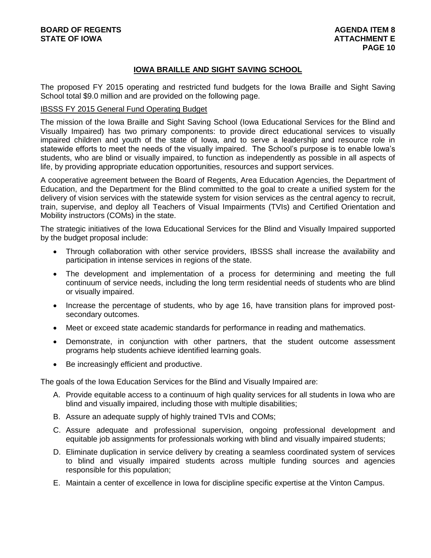# **IOWA BRAILLE AND SIGHT SAVING SCHOOL**

The proposed FY 2015 operating and restricted fund budgets for the Iowa Braille and Sight Saving School total \$9.0 million and are provided on the following page.

### IBSSS FY 2015 General Fund Operating Budget

The mission of the Iowa Braille and Sight Saving School (Iowa Educational Services for the Blind and Visually Impaired) has two primary components: to provide direct educational services to visually impaired children and youth of the state of Iowa, and to serve a leadership and resource role in statewide efforts to meet the needs of the visually impaired. The School's purpose is to enable Iowa's students, who are blind or visually impaired, to function as independently as possible in all aspects of life, by providing appropriate education opportunities, resources and support services.

A cooperative agreement between the Board of Regents, Area Education Agencies, the Department of Education, and the Department for the Blind committed to the goal to create a unified system for the delivery of vision services with the statewide system for vision services as the central agency to recruit, train, supervise, and deploy all Teachers of Visual Impairments (TVIs) and Certified Orientation and Mobility instructors (COMs) in the state.

The strategic initiatives of the Iowa Educational Services for the Blind and Visually Impaired supported by the budget proposal include:

- Through collaboration with other service providers, IBSSS shall increase the availability and participation in intense services in regions of the state.
- The development and implementation of a process for determining and meeting the full continuum of service needs, including the long term residential needs of students who are blind or visually impaired.
- Increase the percentage of students, who by age 16, have transition plans for improved postsecondary outcomes.
- Meet or exceed state academic standards for performance in reading and mathematics.
- Demonstrate, in conjunction with other partners, that the student outcome assessment programs help students achieve identified learning goals.
- Be increasingly efficient and productive.

The goals of the Iowa Education Services for the Blind and Visually Impaired are:

- A. Provide equitable access to a continuum of high quality services for all students in Iowa who are blind and visually impaired, including those with multiple disabilities;
- B. Assure an adequate supply of highly trained TVIs and COMs;
- C. Assure adequate and professional supervision, ongoing professional development and equitable job assignments for professionals working with blind and visually impaired students;
- D. Eliminate duplication in service delivery by creating a seamless coordinated system of services to blind and visually impaired students across multiple funding sources and agencies responsible for this population;
- E. Maintain a center of excellence in Iowa for discipline specific expertise at the Vinton Campus.